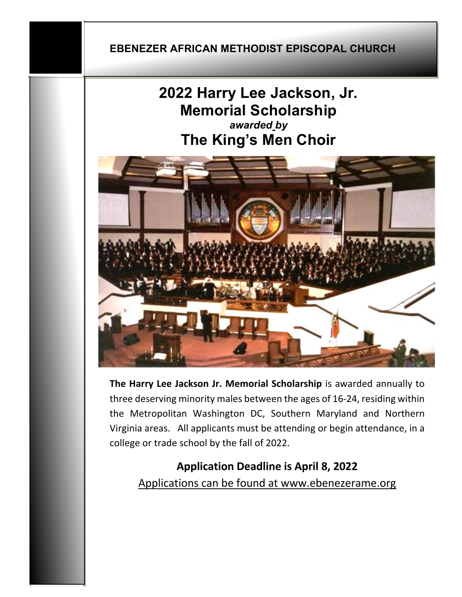#### **EBENEZER AFRICAN METHODIST EPISCOPAL CHURCH**

# **2022 Harry Lee Jackson, Jr. Memorial Scholarship** *awarded by* **The King's Men Choir**



**The Harry Lee Jackson Jr. Memorial Scholarship** is awarded annually to three deserving minority males between the ages of 16-24, residing within the Metropolitan Washington DC, Southern Maryland and Northern Virginia areas. All applicants must be attending or begin attendance, in a college or trade school by the fall of 2022.

**Application Deadline is April 8, 2022** Applications can be found at www.ebenezerame.org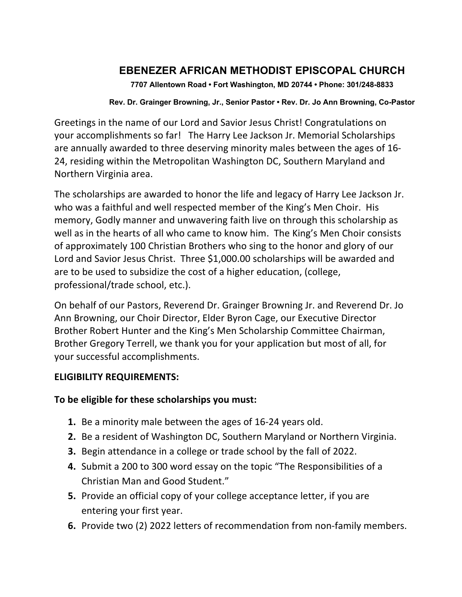### **EBENEZER AFRICAN METHODIST EPISCOPAL CHURCH**

**7707 Allentown Road • Fort Washington, MD 20744 • Phone: 301/248-8833** 

#### **Rev. Dr. Grainger Browning, Jr., Senior Pastor • Rev. Dr. Jo Ann Browning, Co-Pastor**

Greetings in the name of our Lord and Savior Jesus Christ! Congratulations on your accomplishments so far! The Harry Lee Jackson Jr. Memorial Scholarships are annually awarded to three deserving minority males between the ages of 16- 24, residing within the Metropolitan Washington DC, Southern Maryland and Northern Virginia area.

The scholarships are awarded to honor the life and legacy of Harry Lee Jackson Jr. who was a faithful and well respected member of the King's Men Choir. His memory, Godly manner and unwavering faith live on through this scholarship as well as in the hearts of all who came to know him. The King's Men Choir consists of approximately 100 Christian Brothers who sing to the honor and glory of our Lord and Savior Jesus Christ. Three \$1,000.00 scholarships will be awarded and are to be used to subsidize the cost of a higher education, (college, professional/trade school, etc.).

On behalf of our Pastors, Reverend Dr. Grainger Browning Jr. and Reverend Dr. Jo Ann Browning, our Choir Director, Elder Byron Cage, our Executive Director Brother Robert Hunter and the King's Men Scholarship Committee Chairman, Brother Gregory Terrell, we thank you for your application but most of all, for your successful accomplishments.

#### **ELIGIBILITY REQUIREMENTS:**

#### **To be eligible for these scholarships you must:**

- **1.** Be a minority male between the ages of 16-24 years old.
- **2.** Be a resident of Washington DC, Southern Maryland or Northern Virginia.
- **3.** Begin attendance in a college or trade school by the fall of 2022.
- **4.** Submit a 200 to 300 word essay on the topic "The Responsibilities of a Christian Man and Good Student."
- **5.** Provide an official copy of your college acceptance letter, if you are entering your first year.
- **6.** Provide two (2) 2022 letters of recommendation from non-family members.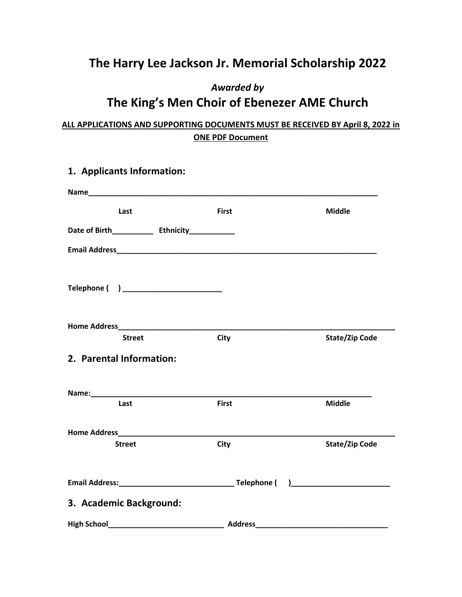## **The Harry Lee Jackson Jr. Memorial Scholarship 2022**

### *Awarded by* **The King's Men Choir of Ebenezer AME Church**

#### **ALL APPLICATIONS AND SUPPORTING DOCUMENTS MUST BE RECEIVED BY April 8, 2022 in ONE PDF Document**

| 1. Applicants Information:                                                                                                                                                                            |              |                       |
|-------------------------------------------------------------------------------------------------------------------------------------------------------------------------------------------------------|--------------|-----------------------|
|                                                                                                                                                                                                       |              |                       |
| Last                                                                                                                                                                                                  | <b>First</b> | <b>Middle</b>         |
|                                                                                                                                                                                                       |              |                       |
|                                                                                                                                                                                                       |              |                       |
| Telephone ( ) _______________________                                                                                                                                                                 |              |                       |
|                                                                                                                                                                                                       |              |                       |
| <b>Street</b><br>2. Parental Information:                                                                                                                                                             | City         | <b>State/Zip Code</b> |
|                                                                                                                                                                                                       |              |                       |
| Last                                                                                                                                                                                                  | <b>First</b> | <b>Middle</b>         |
|                                                                                                                                                                                                       |              |                       |
| <b>Street</b>                                                                                                                                                                                         | City         | <b>State/Zip Code</b> |
|                                                                                                                                                                                                       |              |                       |
| 3. Academic Background:                                                                                                                                                                               |              |                       |
| High School <b>Example 2018</b> Address <b>Address Address Address Address Address Address Address Address Address Address Address Address Address Address Address Address Address Address Addres</b> |              |                       |